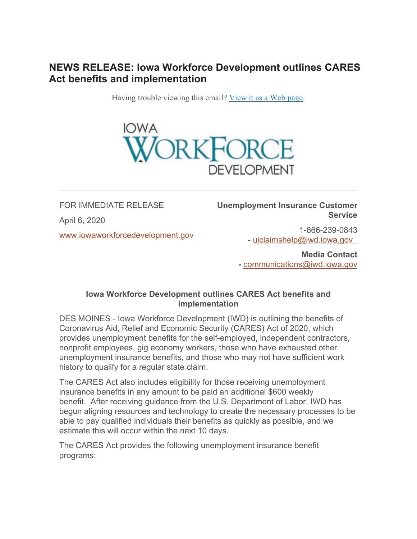## **NEWS RELEASE: Iowa Workforce Development outlines CARES Act benefits and implementation**

Having trouble viewing this email? [View it as a Web page.](https://content.govdelivery.com/accounts/IACIO/bulletins/285144b)



FOR IMMEDIATE RELEASE April 6, 2020 [www.iowaworkforcedevelopment.gov](https://www.iowaworkforcedevelopment.gov/?utm_medium=email&utm_source=govdelivery) **Unemployment Insurance Customer Service**

> 1-866-239-0843 - [uiclaimshelp@iwd.iowa.gov](mailto:uiclaimshelp@iwd.iowa.gov?subject=Unemployment%2BBenefits%2BInquiry)

**Media Contact -** [communications@iwd.iowa.gov](mailto:communications@iwd.iowa.gov)

## **Iowa Workforce Development outlines CARES Act benefits and implementation**

DES MOINES - Iowa Workforce Development (IWD) is outlining the benefits of Coronavirus Aid, Relief and Economic Security (CARES) Act of 2020, which provides unemployment benefits for the self-employed, independent contractors, nonprofit employees, gig economy workers, those who have exhausted other unemployment insurance benefits, and those who may not have sufficient work history to qualify for a regular state claim.

The CARES Act also includes eligibility for those receiving unemployment insurance benefits in any amount to be paid an additional \$600 weekly benefit. After receiving guidance from the U.S. Department of Labor, IWD has begun aligning resources and technology to create the necessary processes to be able to pay qualified individuals their benefits as quickly as possible, and we estimate this will occur within the next 10 days.

The CARES Act provides the following unemployment insurance benefit programs: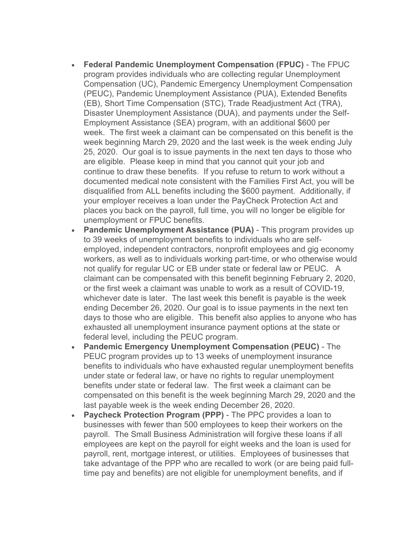- **Federal Pandemic Unemployment Compensation (FPUC)** The FPUC program provides individuals who are collecting regular Unemployment Compensation (UC), Pandemic Emergency Unemployment Compensation (PEUC), Pandemic Unemployment Assistance (PUA), Extended Benefits (EB), Short Time Compensation (STC), Trade Readjustment Act (TRA), Disaster Unemployment Assistance (DUA), and payments under the Self-Employment Assistance (SEA) program, with an additional \$600 per week. The first week a claimant can be compensated on this benefit is the week beginning March 29, 2020 and the last week is the week ending July 25, 2020. Our goal is to issue payments in the next ten days to those who are eligible. Please keep in mind that you cannot quit your job and continue to draw these benefits. If you refuse to return to work without a documented medical note consistent with the Families First Act, you will be disqualified from ALL benefits including the \$600 payment. Additionally, if your employer receives a loan under the PayCheck Protection Act and places you back on the payroll, full time, you will no longer be eligible for unemployment or FPUC benefits.
- **Pandemic Unemployment Assistance (PUA)** This program provides up to 39 weeks of unemployment benefits to individuals who are selfemployed, independent contractors, nonprofit employees and gig economy workers, as well as to individuals working part-time, or who otherwise would not qualify for regular UC or EB under state or federal law or PEUC. A claimant can be compensated with this benefit beginning February 2, 2020, or the first week a claimant was unable to work as a result of COVID-19, whichever date is later. The last week this benefit is payable is the week ending December 26, 2020. Our goal is to issue payments in the next ten days to those who are eligible. This benefit also applies to anyone who has exhausted all unemployment insurance payment options at the state or federal level, including the PEUC program.
- **Pandemic Emergency Unemployment Compensation (PEUC)** The PEUC program provides up to 13 weeks of unemployment insurance benefits to individuals who have exhausted regular unemployment benefits under state or federal law, or have no rights to regular unemployment benefits under state or federal law. The first week a claimant can be compensated on this benefit is the week beginning March 29, 2020 and the last payable week is the week ending December 26, 2020.
- **Paycheck Protection Program (PPP)** The PPC provides a loan to businesses with fewer than 500 employees to keep their workers on the payroll. The Small Business Administration will forgive these loans if all employees are kept on the payroll for eight weeks and the loan is used for payroll, rent, mortgage interest, or utilities. Employees of businesses that take advantage of the PPP who are recalled to work (or are being paid fulltime pay and benefits) are not eligible for unemployment benefits, and if